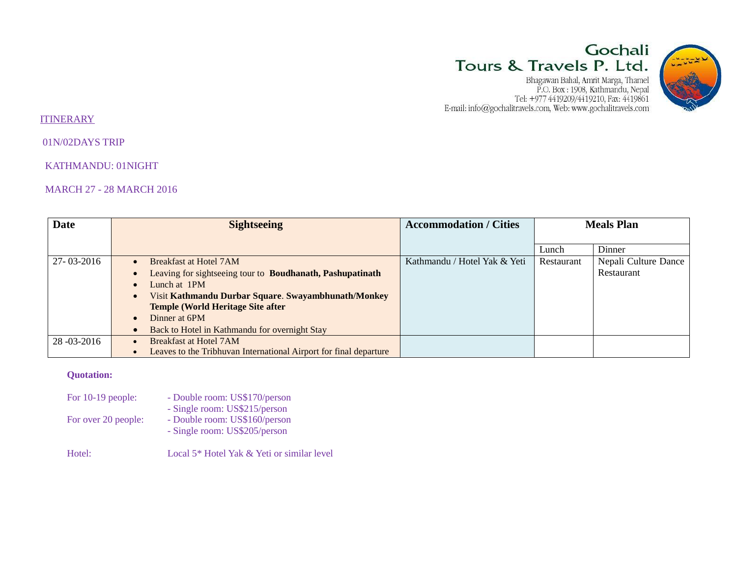# Gochali Tours & Travels P. Ltd.

 ${\small \begin{tabular}{c} Bhaqawan Bahal, Amrit Marqa, Thamel\\ P.O. Box: 1908, Kathmandu, Nepal\\ Tel: +977 4419209/4419210, Fax: 4419861\\ E-mail: info@gochalitravels.com, Web: www.gochalitravels.com \end{tabular} }$ 



#### **ITINERARY**

01N/02DAYS TRIP

KATHMANDU: 01NIGHT

## MARCH 27 - 28 MARCH 2016

| <b>Date</b>  | <b>Sightseeing</b>                                                             | <b>Accommodation / Cities</b> | <b>Meals Plan</b> |                      |
|--------------|--------------------------------------------------------------------------------|-------------------------------|-------------------|----------------------|
|              |                                                                                |                               |                   |                      |
|              |                                                                                |                               | Lunch             | Dinner               |
| 27-03-2016   | Breakfast at Hotel 7AM<br>$\bullet$                                            | Kathmandu / Hotel Yak & Yeti  | Restaurant        | Nepali Culture Dance |
|              | Leaving for sightseeing tour to <b>Boudhanath, Pashupatinath</b><br>$\bullet$  |                               |                   | Restaurant           |
|              | Lunch at 1PM<br>$\bullet$                                                      |                               |                   |                      |
|              | Visit Kathmandu Durbar Square. Swayambhunath/Monkey<br>$\bullet$               |                               |                   |                      |
|              | <b>Temple (World Heritage Site after)</b>                                      |                               |                   |                      |
|              | Dinner at 6PM<br>$\bullet$                                                     |                               |                   |                      |
|              | Back to Hotel in Kathmandu for overnight Stay<br>$\bullet$                     |                               |                   |                      |
| 28 -03 -2016 | <b>Breakfast at Hotel 7AM</b>                                                  |                               |                   |                      |
|              | Leaves to the Tribhuvan International Airport for final departure<br>$\bullet$ |                               |                   |                      |

## **Quotation:**

| For 10-19 people:   | - Double room: US\$170/person<br>- Single room: US\$215/person |
|---------------------|----------------------------------------------------------------|
| For over 20 people: | - Double room: US\$160/person<br>- Single room: US\$205/person |
| Hotel:              | Local 5* Hotel Yak & Yeti or similar level                     |